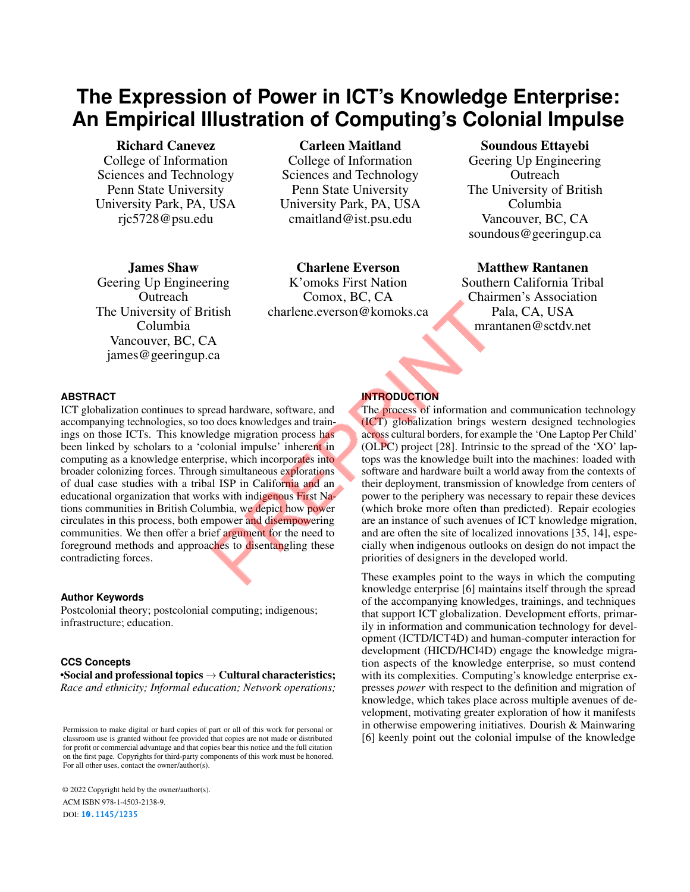# **The Expression of Power in ICT's Knowledge Enterprise: An Empirical Illustration of Computing's Colonial Impulse**

Richard Canevez College of Information Sciences and Technology Penn State University University Park, PA, USA rjc5728@psu.edu

Carleen Maitland College of Information Sciences and Technology Penn State University University Park, PA, USA cmaitland@ist.psu.edu

James Shaw Geering Up Engineering **Outreach** The University of British Columbia Vancouver, BC, CA james@geeringup.ca

Charlene Everson K'omoks First Nation Comox, BC, CA charlene.everson@komoks.ca

## Soundous Ettayebi Geering Up Engineering **Outreach** The University of British Columbia Vancouver, BC, CA soundous@geeringup.ca

## Matthew Rantanen

Southern California Tribal Chairmen's Association Pala, CA, USA mrantanen@sctdv.net

#### **ABSTRACT**

ICT globalization continues to spread hardware, software, and accompanying technologies, so too does knowledges and trainings on those ICTs. This knowledge migration process has been linked by scholars to a 'colonial impulse' inherent in computing as a knowledge enterprise, which incorporates into broader colonizing forces. Through simultaneous explorations of dual case studies with a tribal ISP in California and an educational organization that works with indigenous First Nations communities in British Columbia, we depict how power circulates in this process, both empower and disempowering communities. We then offer a brief argument for the need to foreground methods and approaches to disentangling these contradicting forces.

#### **Author Keywords**

Postcolonial theory; postcolonial computing; indigenous; infrastructure; education.

#### **CCS Concepts**

•Social and professional topics  $\rightarrow$  Cultural characteristics; *Race and ethnicity; Informal education; Network operations;*

Permission to make digital or hard copies of part or all of this work for personal or classroom use is granted without fee provided that copies are not made or distributed for profit or commercial advantage and that copies bear this notice and the full citation on the first page. Copyrights for third-party components of this work must be honored. For all other uses, contact the owner/author(s).

© 2022 Copyright held by the owner/author(s). ACM ISBN 978-1-4503-2138-9. DOI: <10.1145/1235>

## **INTRODUCTION**

The process of information and communication technology (ICT) globalization brings western designed technologies across cultural borders, for example the 'One Laptop Per Child' (OLPC) project [\[28\]](#page-5-0). Intrinsic to the spread of the 'XO' laptops was the knowledge built into the machines: loaded with software and hardware built a world away from the contexts of their deployment, transmission of knowledge from centers of power to the periphery was necessary to repair these devices (which broke more often than predicted). Repair ecologies are an instance of such avenues of ICT knowledge migration, and are often the site of localized innovations [\[35,](#page-5-1) [14\]](#page-4-0), especially when indigenous outlooks on design do not impact the priorities of designers in the developed world.

These examples point to the ways in which the computing knowledge enterprise [\[6\]](#page-4-1) maintains itself through the spread of the accompanying knowledges, trainings, and techniques that support ICT globalization. Development efforts, primarily in information and communication technology for development (ICTD/ICT4D) and human-computer interaction for development (HICD/HCI4D) engage the knowledge migration aspects of the knowledge enterprise, so must contend with its complexities. Computing's knowledge enterprise expresses *power* with respect to the definition and migration of knowledge, which takes place across multiple avenues of development, motivating greater exploration of how it manifests in otherwise empowering initiatives. Dourish & Mainwaring [\[6\]](#page-4-1) keenly point out the colonial impulse of the knowledge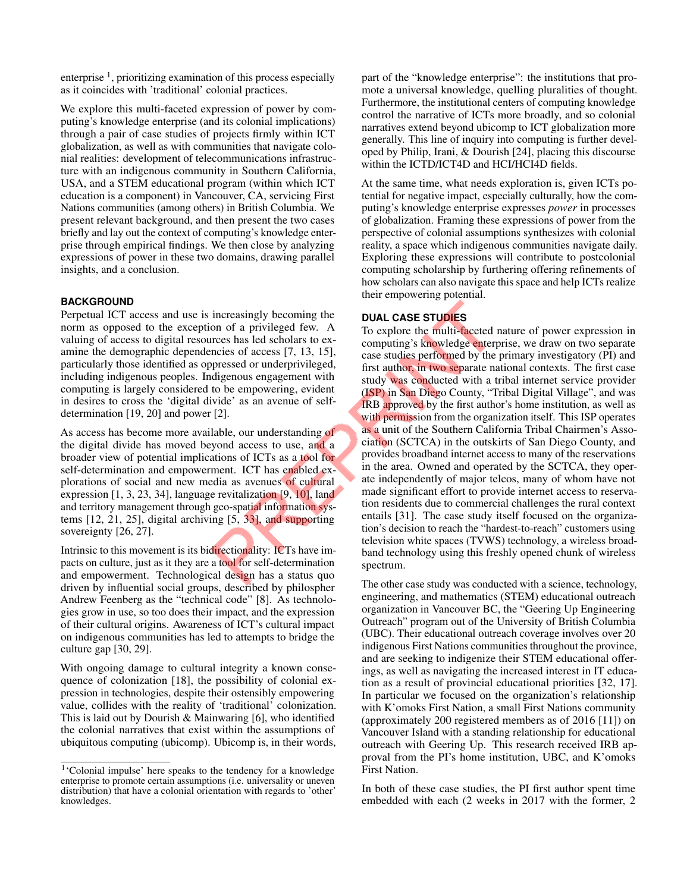enterprise<sup>[1](#page-1-0)</sup>, prioritizing examination of this process especially as it coincides with 'traditional' colonial practices.

We explore this multi-faceted expression of power by computing's knowledge enterprise (and its colonial implications) through a pair of case studies of projects firmly within ICT globalization, as well as with communities that navigate colonial realities: development of telecommunications infrastructure with an indigenous community in Southern California, USA, and a STEM educational program (within which ICT education is a component) in Vancouver, CA, servicing First Nations communities (among others) in British Columbia. We present relevant background, and then present the two cases briefly and lay out the context of computing's knowledge enterprise through empirical findings. We then close by analyzing expressions of power in these two domains, drawing parallel insights, and a conclusion.

#### **BACKGROUND**

Perpetual ICT access and use is increasingly becoming the norm as opposed to the exception of a privileged few. A valuing of access to digital resources has led scholars to examine the demographic dependencies of access [\[7,](#page-4-2) [13,](#page-4-3) [15\]](#page-4-4), particularly those identified as oppressed or underprivileged, including indigenous peoples. Indigenous engagement with computing is largely considered to be empowering, evident in desires to cross the 'digital divide' as an avenue of selfdetermination [\[19,](#page-4-5) [20\]](#page-5-2) and power [\[2\]](#page-4-6).

As access has become more available, our understanding of the digital divide has moved beyond access to use, and a broader view of potential implications of ICTs as a tool for self-determination and empowerment. ICT has enabled explorations of social and new media as avenues of cultural expression [\[1,](#page-4-7) [3,](#page-4-8) [23,](#page-5-3) [34\]](#page-5-4), language revitalization [\[9,](#page-4-9) [10\]](#page-4-10), land and territory management through geo-spatial information systems [\[12,](#page-4-11) [21,](#page-5-5) [25\]](#page-5-6), digital archiving [\[5,](#page-4-12) [33\]](#page-5-7), and supporting sovereignty [\[26,](#page-5-8) [27\]](#page-5-9).

Intrinsic to this movement is its bidirectionality: ICTs have impacts on culture, just as it they are a tool for self-determination and empowerment. Technological design has a status quo driven by influential social groups, described by philospher Andrew Feenberg as the "technical code" [\[8\]](#page-4-13). As technologies grow in use, so too does their impact, and the expression of their cultural origins. Awareness of ICT's cultural impact on indigenous communities has led to attempts to bridge the culture gap [\[30,](#page-5-10) [29\]](#page-5-11).

With ongoing damage to cultural integrity a known consequence of colonization [\[18\]](#page-4-14), the possibility of colonial expression in technologies, despite their ostensibly empowering value, collides with the reality of 'traditional' colonization. This is laid out by Dourish & Mainwaring [\[6\]](#page-4-1), who identified the colonial narratives that exist within the assumptions of ubiquitous computing (ubicomp). Ubicomp is, in their words, part of the "knowledge enterprise": the institutions that promote a universal knowledge, quelling pluralities of thought. Furthermore, the institutional centers of computing knowledge control the narrative of ICTs more broadly, and so colonial narratives extend beyond ubicomp to ICT globalization more generally. This line of inquiry into computing is further developed by Philip, Irani, & Dourish [\[24\]](#page-5-12), placing this discourse within the ICTD/ICT4D and HCI/HCI4D fields.

At the same time, what needs exploration is, given ICTs potential for negative impact, especially culturally, how the computing's knowledge enterprise expresses *power* in processes of globalization. Framing these expressions of power from the perspective of colonial assumptions synthesizes with colonial reality, a space which indigenous communities navigate daily. Exploring these expressions will contribute to postcolonial computing scholarship by furthering offering refinements of how scholars can also navigate this space and help ICTs realize their empowering potential.

#### **DUAL CASE STUDIES**

To explore the multi-faceted nature of power expression in computing's knowledge enterprise, we draw on two separate case studies performed by the primary investigatory (PI) and first author, in two separate national contexts. The first case study was conducted with a tribal internet service provider (ISP) in San Diego County, "Tribal Digital Village", and was IRB approved by the first author's home institution, as well as with permission from the organization itself. This ISP operates as a unit of the Southern California Tribal Chairmen's Association (SCTCA) in the outskirts of San Diego County, and provides broadband internet access to many of the reservations in the area. Owned and operated by the SCTCA, they operate independently of major telcos, many of whom have not made significant effort to provide internet access to reservation residents due to commercial challenges the rural context entails [\[31\]](#page-5-13). The case study itself focused on the organization's decision to reach the "hardest-to-reach" customers using television white spaces (TVWS) technology, a wireless broadband technology using this freshly opened chunk of wireless spectrum.

The other case study was conducted with a science, technology, engineering, and mathematics (STEM) educational outreach organization in Vancouver BC, the "Geering Up Engineering Outreach" program out of the University of British Columbia (UBC). Their educational outreach coverage involves over 20 indigenous First Nations communities throughout the province, and are seeking to indigenize their STEM educational offerings, as well as navigating the increased interest in IT education as a result of provincial educational priorities [\[32,](#page-5-14) [17\]](#page-4-15). In particular we focused on the organization's relationship with K'omoks First Nation, a small First Nations community (approximately 200 registered members as of 2016 [\[11\]](#page-4-16)) on Vancouver Island with a standing relationship for educational outreach with Geering Up. This research received IRB approval from the PI's home institution, UBC, and K'omoks First Nation.

In both of these case studies, the PI first author spent time embedded with each (2 weeks in 2017 with the former, 2

<span id="page-1-0"></span><sup>&</sup>lt;sup>1</sup>'Colonial impulse' here speaks to the tendency for a knowledge enterprise to promote certain assumptions (i.e. universality or uneven distribution) that have a colonial orientation with regards to 'other' knowledges.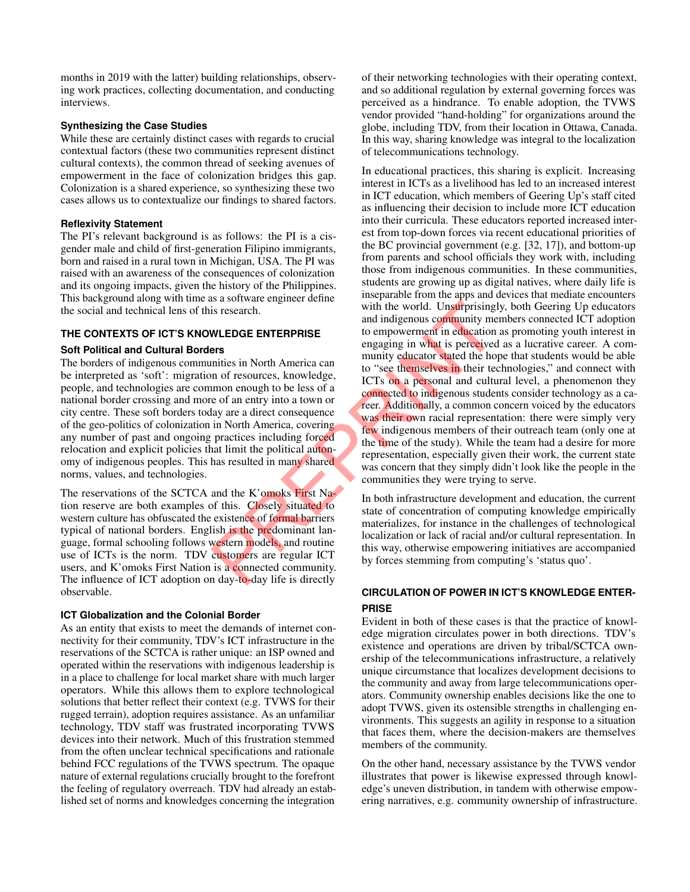months in 2019 with the latter) building relationships, observing work practices, collecting documentation, and conducting interviews.

#### **Synthesizing the Case Studies**

While these are certainly distinct cases with regards to crucial contextual factors (these two communities represent distinct cultural contexts), the common thread of seeking avenues of empowerment in the face of colonization bridges this gap. Colonization is a shared experience, so synthesizing these two cases allows us to contextualize our findings to shared factors.

## **Reflexivity Statement**

The PI's relevant background is as follows: the PI is a cisgender male and child of first-generation Filipino immigrants, born and raised in a rural town in Michigan, USA. The PI was raised with an awareness of the consequences of colonization and its ongoing impacts, given the history of the Philippines. This background along with time as a software engineer define the social and technical lens of this research.

## **THE CONTEXTS OF ICT'S KNOWLEDGE ENTERPRISE**

## **Soft Political and Cultural Borders**

The borders of indigenous communities in North America can be interpreted as 'soft': migration of resources, knowledge, people, and technologies are common enough to be less of a national border crossing and more of an entry into a town or city centre. These soft borders today are a direct consequence of the geo-politics of colonization in North America, covering any number of past and ongoing practices including forced relocation and explicit policies that limit the political autonomy of indigenous peoples. This has resulted in many shared norms, values, and technologies.

The reservations of the SCTCA and the K'omoks First Nation reserve are both examples of this. Closely situated to western culture has obfuscated the existence of formal barriers typical of national borders. English is the predominant language, formal schooling follows western models, and routine use of ICTs is the norm. TDV customers are regular ICT users, and K'omoks First Nation is a connected community. The influence of ICT adoption on day-to-day life is directly observable.

#### **ICT Globalization and the Colonial Border**

As an entity that exists to meet the demands of internet connectivity for their community, TDV's ICT infrastructure in the reservations of the SCTCA is rather unique: an ISP owned and operated within the reservations with indigenous leadership is in a place to challenge for local market share with much larger operators. While this allows them to explore technological solutions that better reflect their context (e.g. TVWS for their rugged terrain), adoption requires assistance. As an unfamiliar technology, TDV staff was frustrated incorporating TVWS devices into their network. Much of this frustration stemmed from the often unclear technical specifications and rationale behind FCC regulations of the TVWS spectrum. The opaque nature of external regulations crucially brought to the forefront the feeling of regulatory overreach. TDV had already an established set of norms and knowledges concerning the integration of their networking technologies with their operating context, and so additional regulation by external governing forces was perceived as a hindrance. To enable adoption, the TVWS vendor provided "hand-holding" for organizations around the globe, including TDV, from their location in Ottawa, Canada. In this way, sharing knowledge was integral to the localization of telecommunications technology.

In educational practices, this sharing is explicit. Increasing interest in ICTs as a livelihood has led to an increased interest in ICT education, which members of Geering Up's staff cited as influencing their decision to include more ICT education into their curricula. These educators reported increased interest from top-down forces via recent educational priorities of the BC provincial government (e.g. [\[32,](#page-5-14) [17\]](#page-4-15)), and bottom-up from parents and school officials they work with, including those from indigenous communities. In these communities, students are growing up as digital natives, where daily life is inseparable from the apps and devices that mediate encounters with the world. Unsurprisingly, both Geering Up educators and indigenous community members connected ICT adoption to empowerment in education as promoting youth interest in engaging in what is perceived as a lucrative career. A community educator stated the hope that students would be able to "see themselves in their technologies," and connect with ICTs on a personal and cultural level, a phenomenon they connected to indigenous students consider technology as a career. Additionally, a common concern voiced by the educators was their own racial representation: there were simply very few indigenous members of their outreach team (only one at the time of the study). While the team had a desire for more representation, especially given their work, the current state was concern that they simply didn't look like the people in the communities they were trying to serve.

In both infrastructure development and education, the current state of concentration of computing knowledge empirically materializes, for instance in the challenges of technological localization or lack of racial and/or cultural representation. In this way, otherwise empowering initiatives are accompanied by forces stemming from computing's 'status quo'.

## **CIRCULATION OF POWER IN ICT'S KNOWLEDGE ENTER-PRISE**

Evident in both of these cases is that the practice of knowledge migration circulates power in both directions. TDV's existence and operations are driven by tribal/SCTCA ownership of the telecommunications infrastructure, a relatively unique circumstance that localizes development decisions to the community and away from large telecommunications operators. Community ownership enables decisions like the one to adopt TVWS, given its ostensible strengths in challenging environments. This suggests an agility in response to a situation that faces them, where the decision-makers are themselves members of the community.

On the other hand, necessary assistance by the TVWS vendor illustrates that power is likewise expressed through knowledge's uneven distribution, in tandem with otherwise empowering narratives, e.g. community ownership of infrastructure.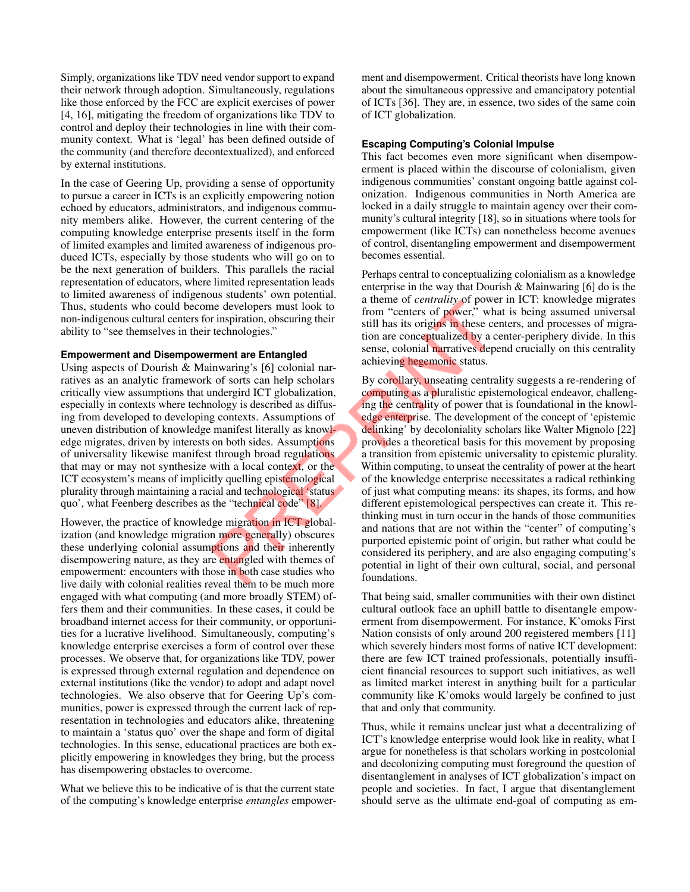Simply, organizations like TDV need vendor support to expand their network through adoption. Simultaneously, regulations like those enforced by the FCC are explicit exercises of power [\[4,](#page-4-17) [16\]](#page-4-18), mitigating the freedom of organizations like TDV to control and deploy their technologies in line with their community context. What is 'legal' has been defined outside of the community (and therefore decontextualized), and enforced by external institutions.

In the case of Geering Up, providing a sense of opportunity to pursue a career in ICTs is an explicitly empowering notion echoed by educators, administrators, and indigenous community members alike. However, the current centering of the computing knowledge enterprise presents itself in the form of limited examples and limited awareness of indigenous produced ICTs, especially by those students who will go on to be the next generation of builders. This parallels the racial representation of educators, where limited representation leads to limited awareness of indigenous students' own potential. Thus, students who could become developers must look to non-indigenous cultural centers for inspiration, obscuring their ability to "see themselves in their technologies."

#### **Empowerment and Disempowerment are Entangled**

Using aspects of Dourish & Mainwaring's [\[6\]](#page-4-1) colonial narratives as an analytic framework of sorts can help scholars critically view assumptions that undergird ICT globalization, especially in contexts where technology is described as diffusing from developed to developing contexts. Assumptions of uneven distribution of knowledge manifest literally as knowledge migrates, driven by interests on both sides. Assumptions of universality likewise manifest through broad regulations that may or may not synthesize with a local context, or the ICT ecosystem's means of implicitly quelling epistemological plurality through maintaining a racial and technological 'status quo', what Feenberg describes as the "technical code" [\[8\]](#page-4-13).

However, the practice of knowledge migration in ICT globalization (and knowledge migration more generally) obscures these underlying colonial assumptions and their inherently disempowering nature, as they are entangled with themes of empowerment: encounters with those in both case studies who live daily with colonial realities reveal them to be much more engaged with what computing (and more broadly STEM) offers them and their communities. In these cases, it could be broadband internet access for their community, or opportunities for a lucrative livelihood. Simultaneously, computing's knowledge enterprise exercises a form of control over these processes. We observe that, for organizations like TDV, power is expressed through external regulation and dependence on external institutions (like the vendor) to adopt and adapt novel technologies. We also observe that for Geering Up's communities, power is expressed through the current lack of representation in technologies and educators alike, threatening to maintain a 'status quo' over the shape and form of digital technologies. In this sense, educational practices are both explicitly empowering in knowledges they bring, but the process has disempowering obstacles to overcome.

What we believe this to be indicative of is that the current state of the computing's knowledge enterprise *entangles* empowerment and disempowerment. Critical theorists have long known about the simultaneous oppressive and emancipatory potential of ICTs [\[36\]](#page-5-15). They are, in essence, two sides of the same coin of ICT globalization.

#### **Escaping Computing's Colonial Impulse**

This fact becomes even more significant when disempowerment is placed within the discourse of colonialism, given indigenous communities' constant ongoing battle against colonization. Indigenous communities in North America are locked in a daily struggle to maintain agency over their community's cultural integrity [\[18\]](#page-4-14), so in situations where tools for empowerment (like ICTs) can nonetheless become avenues of control, disentangling empowerment and disempowerment becomes essential.

Perhaps central to conceptualizing colonialism as a knowledge enterprise in the way that Dourish & Mainwaring [\[6\]](#page-4-1) do is the a theme of *centrality* of power in ICT: knowledge migrates from "centers of power," what is being assumed universal still has its origins in these centers, and processes of migration are conceptualized by a center-periphery divide. In this sense, colonial narratives depend crucially on this centrality achieving hegemonic status.

By corollary, unseating centrality suggests a re-rendering of computing as a pluralistic epistemological endeavor, challenging the centrality of power that is foundational in the knowledge enterprise. The development of the concept of 'epistemic delinking' by decoloniality scholars like Walter Mignolo [\[22\]](#page-5-16) provides a theoretical basis for this movement by proposing a transition from epistemic universality to epistemic plurality. Within computing, to unseat the centrality of power at the heart of the knowledge enterprise necessitates a radical rethinking of just what computing means: its shapes, its forms, and how different epistemological perspectives can create it. This rethinking must in turn occur in the hands of those communities and nations that are not within the "center" of computing's purported epistemic point of origin, but rather what could be considered its periphery, and are also engaging computing's potential in light of their own cultural, social, and personal foundations.

That being said, smaller communities with their own distinct cultural outlook face an uphill battle to disentangle empowerment from disempowerment. For instance, K'omoks First Nation consists of only around 200 registered members [\[11\]](#page-4-16) which severely hinders most forms of native ICT development: there are few ICT trained professionals, potentially insufficient financial resources to support such initiatives, as well as limited market interest in anything built for a particular community like K'omoks would largely be confined to just that and only that community.

Thus, while it remains unclear just what a decentralizing of ICT's knowledge enterprise would look like in reality, what I argue for nonetheless is that scholars working in postcolonial and decolonizing computing must foreground the question of disentanglement in analyses of ICT globalization's impact on people and societies. In fact, I argue that disentanglement should serve as the ultimate end-goal of computing as em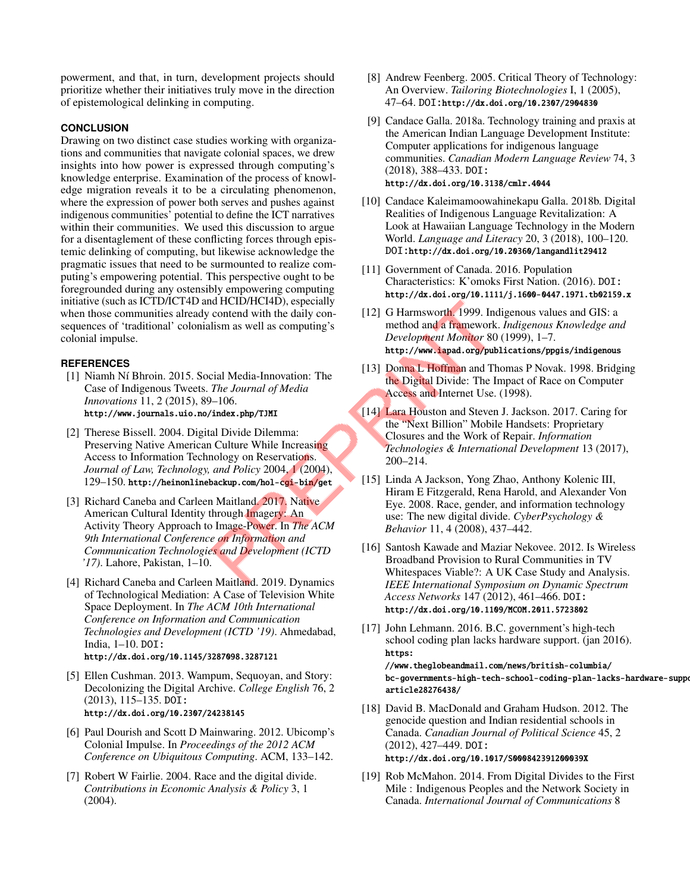powerment, and that, in turn, development projects should prioritize whether their initiatives truly move in the direction of epistemological delinking in computing.

#### **CONCLUSION**

Drawing on two distinct case studies working with organizations and communities that navigate colonial spaces, we drew insights into how power is expressed through computing's knowledge enterprise. Examination of the process of knowledge migration reveals it to be a circulating phenomenon, where the expression of power both serves and pushes against indigenous communities' potential to define the ICT narratives within their communities. We used this discussion to argue for a disentaglement of these conflicting forces through epistemic delinking of computing, but likewise acknowledge the pragmatic issues that need to be surmounted to realize computing's empowering potential. This perspective ought to be foregrounded during any ostensibly empowering computing initiative (such as ICTD/ICT4D and HCID/HCI4D), especially when those communities already contend with the daily consequences of 'traditional' colonialism as well as computing's colonial impulse.

#### <span id="page-4-7"></span>**REFERENCES**

- [1] Niamh Ní Bhroin. 2015. Social Media-Innovation: The Case of Indigenous Tweets. *The Journal of Media Innovations* 11, 2 (2015), 89–106. <http://www.journals.uio.no/index.php/TJMI>
- <span id="page-4-6"></span>[2] Therese Bissell. 2004. Digital Divide Dilemma: Preserving Native American Culture While Increasing Access to Information Technology on Reservations. *Journal of Law, Technology, and Policy* 2004, 1 (2004), 129–150. <http://heinonlinebackup.com/hol-cgi-bin/get>
- <span id="page-4-8"></span>[3] Richard Caneba and Carleen Maitland. 2017. Native American Cultural Identity through Imagery: An Activity Theory Approach to Image-Power. In *The ACM 9th International Conference on Information and Communication Technologies and Development (ICTD '17)*. Lahore, Pakistan, 1–10.
- <span id="page-4-17"></span>[4] Richard Caneba and Carleen Maitland. 2019. Dynamics of Technological Mediation: A Case of Television White Space Deployment. In *The ACM 10th International Conference on Information and Communication Technologies and Development (ICTD '19)*. Ahmedabad, India, 1–10. DOI: <http://dx.doi.org/10.1145/3287098.3287121>
- <span id="page-4-12"></span>[5] Ellen Cushman. 2013. Wampum, Sequoyan, and Story: Decolonizing the Digital Archive. *College English* 76, 2 (2013), 115–135. DOI: <http://dx.doi.org/10.2307/24238145>
- <span id="page-4-1"></span>[6] Paul Dourish and Scott D Mainwaring. 2012. Ubicomp's Colonial Impulse. In *Proceedings of the 2012 ACM Conference on Ubiquitous Computing*. ACM, 133–142.
- <span id="page-4-2"></span>[7] Robert W Fairlie. 2004. Race and the digital divide. *Contributions in Economic Analysis & Policy* 3, 1 (2004).
- <span id="page-4-13"></span>[8] Andrew Feenberg. 2005. Critical Theory of Technology: An Overview. *Tailoring Biotechnologies* I, 1 (2005), 47–64. DOI:<http://dx.doi.org/10.2307/2904830>
- <span id="page-4-9"></span>[9] Candace Galla. 2018a. Technology training and praxis at the American Indian Language Development Institute: Computer applications for indigenous language communities. *Canadian Modern Language Review* 74, 3 (2018), 388–433. DOI: <http://dx.doi.org/10.3138/cmlr.4044>
- <span id="page-4-10"></span>[10] Candace Kaleimamoowahinekapu Galla. 2018b. Digital Realities of Indigenous Language Revitalization: A Look at Hawaiian Language Technology in the Modern World. *Language and Literacy* 20, 3 (2018), 100–120. DOI:<http://dx.doi.org/10.20360/langandlit29412>
- <span id="page-4-16"></span>[11] Government of Canada. 2016. Population Characteristics: K'omoks First Nation. (2016). DOI: <http://dx.doi.org/10.1111/j.1600-0447.1971.tb02159.x>
- <span id="page-4-11"></span>[12] G Harmsworth. 1999. Indigenous values and GIS: a method and a framework. *Indigenous Knowledge and Development Monitor* 80 (1999), 1–7. <http://www.iapad.org/publications/ppgis/indigenous>
- <span id="page-4-3"></span>[13] Donna L Hoffman and Thomas P Novak. 1998. Bridging the Digital Divide: The Impact of Race on Computer Access and Internet Use. (1998).
- <span id="page-4-0"></span>[14] Lara Houston and Steven J. Jackson. 2017. Caring for the "Next Billion" Mobile Handsets: Proprietary Closures and the Work of Repair. *Information Technologies & International Development* 13 (2017), 200–214.
- <span id="page-4-4"></span>[15] Linda A Jackson, Yong Zhao, Anthony Kolenic III, Hiram E Fitzgerald, Rena Harold, and Alexander Von Eye. 2008. Race, gender, and information technology use: The new digital divide. *CyberPsychology & Behavior* 11, 4 (2008), 437–442.
- <span id="page-4-18"></span>[16] Santosh Kawade and Maziar Nekovee. 2012. Is Wireless Broadband Provision to Rural Communities in TV Whitespaces Viable?: A UK Case Study and Analysis. *IEEE International Symposium on Dynamic Spectrum Access Networks* 147 (2012), 461–466. DOI: <http://dx.doi.org/10.1109/MCOM.2011.5723802>
- <span id="page-4-15"></span>[17] John Lehmann. 2016. B.C. government's high-tech school coding plan lacks hardware support. (jan 2016). [https:](https://www.theglobeandmail.com/news/british-columbia/bc-governments-high-tech-school-coding-plan-lacks-hardware-support/article28276438/) [//www.theglobeandmail.com/news/british-columbia/](https://www.theglobeandmail.com/news/british-columbia/bc-governments-high-tech-school-coding-plan-lacks-hardware-support/article28276438/)

[bc-governments-high-tech-school-coding-plan-lacks-har](https://www.theglobeandmail.com/news/british-columbia/bc-governments-high-tech-school-coding-plan-lacks-hardware-support/article28276438/)dware-suppo [article28276438/](https://www.theglobeandmail.com/news/british-columbia/bc-governments-high-tech-school-coding-plan-lacks-hardware-support/article28276438/)

- <span id="page-4-14"></span>[18] David B. MacDonald and Graham Hudson. 2012. The genocide question and Indian residential schools in Canada. *Canadian Journal of Political Science* 45, 2 (2012), 427–449. DOI: <http://dx.doi.org/10.1017/S000842391200039X>
- <span id="page-4-5"></span>[19] Rob McMahon. 2014. From Digital Divides to the First Mile : Indigenous Peoples and the Network Society in Canada. *International Journal of Communications* 8